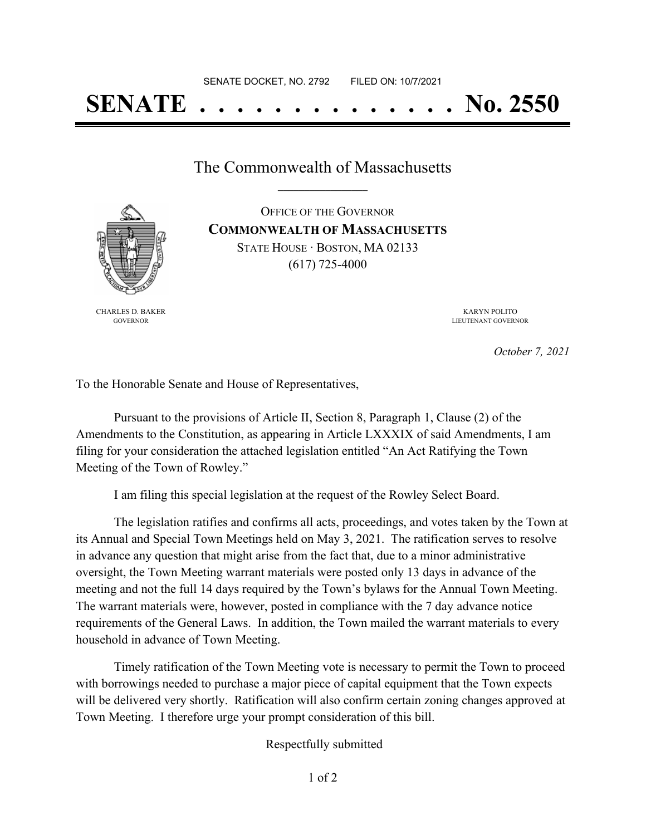## **SENATE . . . . . . . . . . . . . . No. 2550**

The Commonwealth of Massachusetts **\_\_\_\_\_\_\_\_\_\_\_\_\_\_\_\_\_**

CHARLES D. BAKER GOVERNOR

OFFICE OF THE GOVERNOR **COMMONWEALTH OF MASSACHUSETTS** STATE HOUSE · BOSTON, MA 02133 (617) 725-4000

> KARYN POLITO LIEUTENANT GOVERNOR

> > *October 7, 2021*

To the Honorable Senate and House of Representatives,

Pursuant to the provisions of Article II, Section 8, Paragraph 1, Clause (2) of the Amendments to the Constitution, as appearing in Article LXXXIX of said Amendments, I am filing for your consideration the attached legislation entitled "An Act Ratifying the Town Meeting of the Town of Rowley."

I am filing this special legislation at the request of the Rowley Select Board.

The legislation ratifies and confirms all acts, proceedings, and votes taken by the Town at its Annual and Special Town Meetings held on May 3, 2021. The ratification serves to resolve in advance any question that might arise from the fact that, due to a minor administrative oversight, the Town Meeting warrant materials were posted only 13 days in advance of the meeting and not the full 14 days required by the Town's bylaws for the Annual Town Meeting. The warrant materials were, however, posted in compliance with the 7 day advance notice requirements of the General Laws. In addition, the Town mailed the warrant materials to every household in advance of Town Meeting.

Timely ratification of the Town Meeting vote is necessary to permit the Town to proceed with borrowings needed to purchase a major piece of capital equipment that the Town expects will be delivered very shortly. Ratification will also confirm certain zoning changes approved at Town Meeting. I therefore urge your prompt consideration of this bill.

Respectfully submitted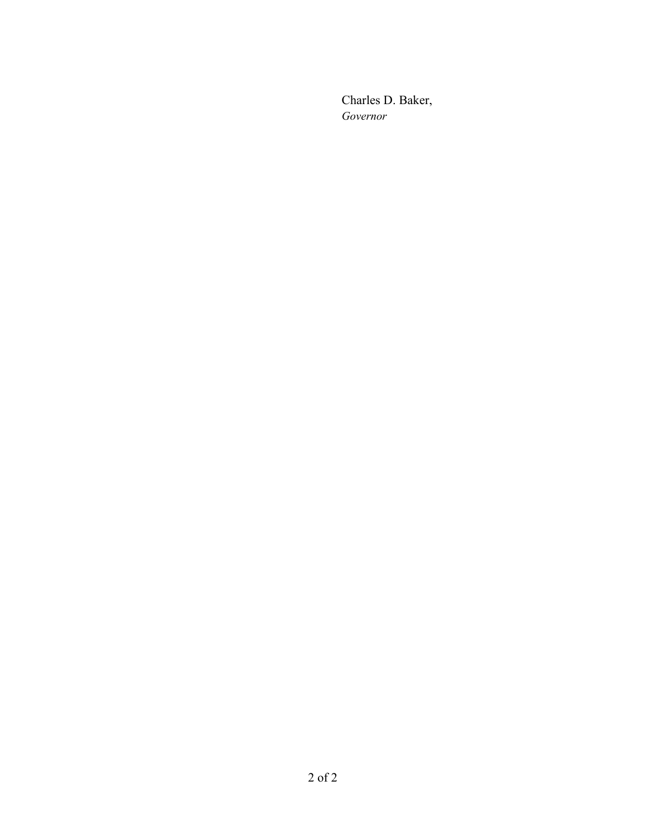Charles D. Baker, *Governor*